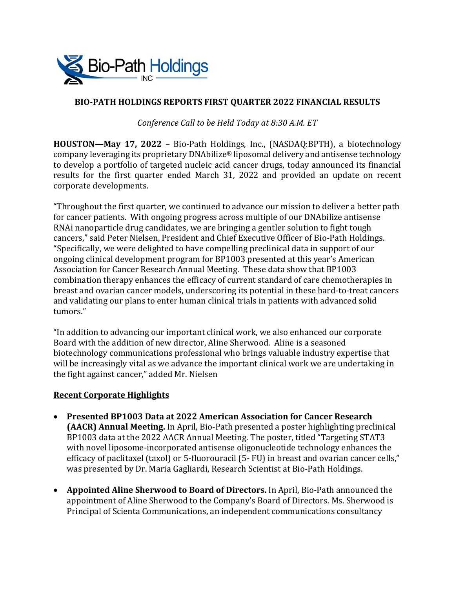

# **BIO-PATH HOLDINGS REPORTS FIRST QUARTER 2022 FINANCIAL RESULTS**

*Conference Call to be Held Today at 8:30 A.M. ET*

**HOUSTON—May 17, 2022** – Bio-Path Holdings, Inc., (NASDAQ:BPTH), a biotechnology company leveraging its proprietary DNAbilize® liposomal delivery and antisense technology to develop a portfolio of targeted nucleic acid cancer drugs, today announced its financial results for the first quarter ended March 31, 2022 and provided an update on recent corporate developments.

"Throughout the first quarter, we continued to advance our mission to deliver a better path for cancer patients. With ongoing progress across multiple of our DNAbilize antisense RNAi nanoparticle drug candidates, we are bringing a gentler solution to fight tough cancers," said Peter Nielsen, President and Chief Executive Officer of Bio-Path Holdings. "Specifically, we were delighted to have compelling preclinical data in support of our ongoing clinical development program for BP1003 presented at this year's American Association for Cancer Research Annual Meeting. These data show that BP1003 combination therapy enhances the efficacy of current standard of care chemotherapies in breast and ovarian cancer models, underscoring its potential in these hard-to-treat cancers and validating our plans to enter human clinical trials in patients with advanced solid tumors."

"In addition to advancing our important clinical work, we also enhanced our corporate Board with the addition of new director, Aline Sherwood. Aline is a seasoned biotechnology communications professional who brings valuable industry expertise that will be increasingly vital as we advance the important clinical work we are undertaking in the fight against cancer," added Mr. Nielsen

## **Recent Corporate Highlights**

- **Presented BP1003 Data at 2022 American Association for Cancer Research (AACR) Annual Meeting.** In April, Bio-Path presented a poster highlighting preclinical BP1003 data at the 2022 AACR Annual Meeting. The poster, titled "Targeting STAT3 with novel liposome-incorporated antisense oligonucleotide technology enhances the efficacy of paclitaxel (taxol) or 5-fluorouracil (5- FU) in breast and ovarian cancer cells," was presented by Dr. Maria Gagliardi, Research Scientist at Bio-Path Holdings.
- **Appointed Aline Sherwood to Board of Directors.** In April, Bio-Path announced the appointment of Aline Sherwood to the Company's Board of Directors. Ms. Sherwood is Principal of Scienta Communications, an independent communications consultancy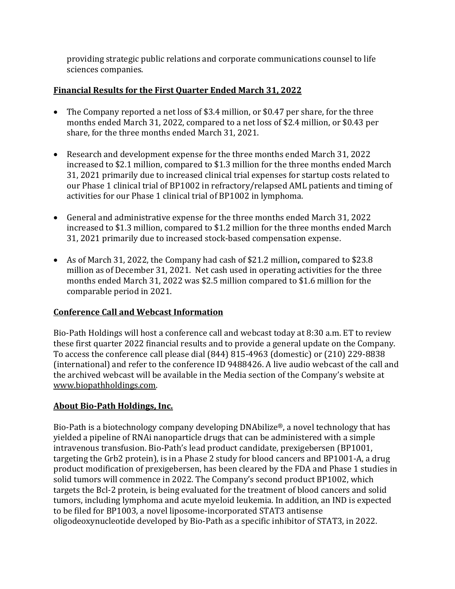providing strategic public relations and corporate communications counsel to life sciences companies.

# **Financial Results for the First Quarter Ended March 31, 2022**

- The Company reported a net loss of \$3.4 million, or \$0.47 per share, for the three months ended March 31, 2022, compared to a net loss of \$2.4 million, or \$0.43 per share, for the three months ended March 31, 2021.
- Research and development expense for the three months ended March 31, 2022 increased to \$2.1 million, compared to \$1.3 million for the three months ended March 31, 2021 primarily due to increased clinical trial expenses for startup costs related to our Phase 1 clinical trial of BP1002 in refractory/relapsed AML patients and timing of activities for our Phase 1 clinical trial of BP1002 in lymphoma.
- General and administrative expense for the three months ended March 31, 2022 increased to \$1.3 million, compared to \$1.2 million for the three months ended March 31, 2021 primarily due to increased stock-based compensation expense.
- As of March 31, 2022, the Company had cash of \$21.2 million**,** compared to \$23.8 million as of December 31, 2021. Net cash used in operating activities for the three months ended March 31, 2022 was \$2.5 million compared to \$1.6 million for the comparable period in 2021.

## **Conference Call and Webcast Information**

Bio-Path Holdings will host a conference call and webcast today at 8:30 a.m. ET to review these first quarter 2022 financial results and to provide a general update on the Company. To access the conference call please dial (844) 815-4963 (domestic) or (210) 229-8838 (international) and refer to the conference ID 9488426. A live audio webcast of the call and the archived webcast will be available in the Media section of the Company's website at [www.biopathholdings.com.](http://www.biopathholdings.com/)

# **About Bio-Path Holdings, Inc.**

Bio-Path is a biotechnology company developing DNAbilize®, a novel technology that has yielded a pipeline of RNAi nanoparticle drugs that can be administered with a simple intravenous transfusion. Bio-Path's lead product candidate, prexigebersen (BP1001, targeting the Grb2 protein), is in a Phase 2 study for blood cancers and BP1001-A, a drug product modification of prexigebersen, has been cleared by the FDA and Phase 1 studies in solid tumors will commence in 2022. The Company's second product BP1002, which targets the Bcl-2 protein, is being evaluated for the treatment of blood cancers and solid tumors, including lymphoma and acute myeloid leukemia. In addition, an IND is expected to be filed for BP1003, a novel liposome-incorporated STAT3 antisense oligodeoxynucleotide developed by Bio-Path as a specific inhibitor of STAT3, in 2022.